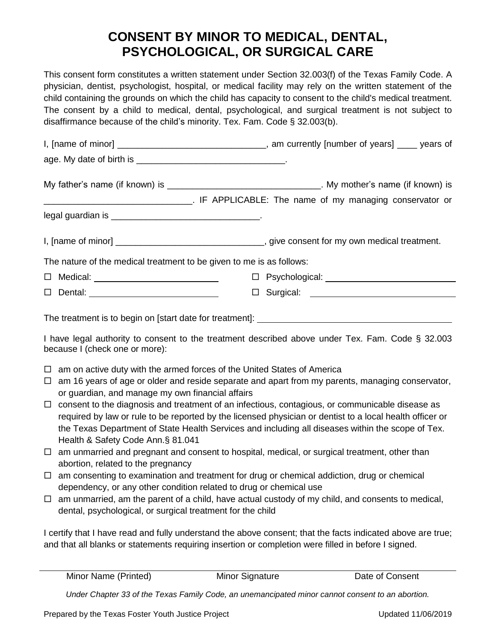## **CONSENT BY MINOR TO MEDICAL, DENTAL, PSYCHOLOGICAL, OR SURGICAL CARE**

This consent form constitutes a written statement under Section 32.003(f) of the Texas Family Code. A physician, dentist, psychologist, hospital, or medical facility may rely on the written statement of the child containing the grounds on which the child has capacity to consent to the child's medical treatment. The consent by a child to medical, dental, psychological, and surgical treatment is not subject to disaffirmance because of the child's minority. Tex. Fam. Code § 32.003(b).

| I, [name of minor] __________________________________, am currently [number of years] ____ years of                                                                                                                                                                                                                                                                                                                                                                                                                                                                                                                                                                                                                                                                                                                                                                                                                                                                                                                                                                                                                        |                               |  |  |
|----------------------------------------------------------------------------------------------------------------------------------------------------------------------------------------------------------------------------------------------------------------------------------------------------------------------------------------------------------------------------------------------------------------------------------------------------------------------------------------------------------------------------------------------------------------------------------------------------------------------------------------------------------------------------------------------------------------------------------------------------------------------------------------------------------------------------------------------------------------------------------------------------------------------------------------------------------------------------------------------------------------------------------------------------------------------------------------------------------------------------|-------------------------------|--|--|
|                                                                                                                                                                                                                                                                                                                                                                                                                                                                                                                                                                                                                                                                                                                                                                                                                                                                                                                                                                                                                                                                                                                            |                               |  |  |
|                                                                                                                                                                                                                                                                                                                                                                                                                                                                                                                                                                                                                                                                                                                                                                                                                                                                                                                                                                                                                                                                                                                            |                               |  |  |
| LE APPLICABLE: The name of my managing conservator or                                                                                                                                                                                                                                                                                                                                                                                                                                                                                                                                                                                                                                                                                                                                                                                                                                                                                                                                                                                                                                                                      |                               |  |  |
|                                                                                                                                                                                                                                                                                                                                                                                                                                                                                                                                                                                                                                                                                                                                                                                                                                                                                                                                                                                                                                                                                                                            |                               |  |  |
|                                                                                                                                                                                                                                                                                                                                                                                                                                                                                                                                                                                                                                                                                                                                                                                                                                                                                                                                                                                                                                                                                                                            |                               |  |  |
| The nature of the medical treatment to be given to me is as follows:                                                                                                                                                                                                                                                                                                                                                                                                                                                                                                                                                                                                                                                                                                                                                                                                                                                                                                                                                                                                                                                       |                               |  |  |
| $\Box$ Medical: $\Box$                                                                                                                                                                                                                                                                                                                                                                                                                                                                                                                                                                                                                                                                                                                                                                                                                                                                                                                                                                                                                                                                                                     |                               |  |  |
|                                                                                                                                                                                                                                                                                                                                                                                                                                                                                                                                                                                                                                                                                                                                                                                                                                                                                                                                                                                                                                                                                                                            | $\square$ Surgical: $\square$ |  |  |
| The treatment is to begin on [start date for treatment]: ________________________<br>I have legal authority to consent to the treatment described above under Tex. Fam. Code § 32.003<br>because I (check one or more):                                                                                                                                                                                                                                                                                                                                                                                                                                                                                                                                                                                                                                                                                                                                                                                                                                                                                                    |                               |  |  |
| am on active duty with the armed forces of the United States of America<br>$\Box$<br>am 16 years of age or older and reside separate and apart from my parents, managing conservator,<br>$\Box$<br>or guardian, and manage my own financial affairs<br>consent to the diagnosis and treatment of an infectious, contagious, or communicable disease as<br>$\Box$<br>required by law or rule to be reported by the licensed physician or dentist to a local health officer or<br>the Texas Department of State Health Services and including all diseases within the scope of Tex.<br>Health & Safety Code Ann.§ 81.041<br>$\Box$ am unmarried and pregnant and consent to hospital, medical, or surgical treatment, other than<br>abortion, related to the pregnancy<br>$\Box$ am consenting to examination and treatment for drug or chemical addiction, drug or chemical<br>dependency, or any other condition related to drug or chemical use<br>$\Box$ am unmarried, am the parent of a child, have actual custody of my child, and consents to medical,<br>dental, psychological, or surgical treatment for the child |                               |  |  |
| I certify that I have read and fully understand the above consent; that the facts indicated above are true;<br>and that all blanks or statements requiring insertion or completion were filled in before I signed.                                                                                                                                                                                                                                                                                                                                                                                                                                                                                                                                                                                                                                                                                                                                                                                                                                                                                                         |                               |  |  |

Minor Name (Printed) Minor Signature Date of Consent

*Under Chapter 33 of the Texas Family Code, an unemancipated minor cannot consent to an abortion.*